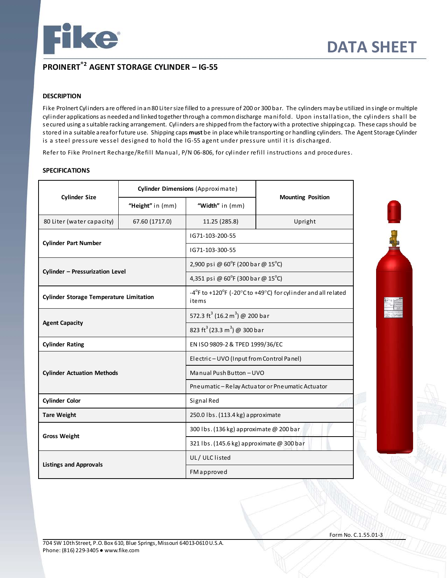

# **PROINERT®2 AGENT STORAGE CYLINDER – IG-55**

### **DESCRIPTION**

Fike ProInert Cylinders are offered in an 80 Liter size filled to a pressure of 200 or 300 bar. The cylinders may be utilized in single or multiple cylinder applications as needed and linked together through a common discharge manifold. Upon installation, the cylinders shall be secured using a suitable racking arrangement. Cylinders are shipped from the factory with a protective shipping cap. These caps should be stored in a suitable area for future use. Shipping caps **must** be in place while transporting or handling cylinders. The Agent Storage Cylinder is a steel pressure vessel designed to hold the IG-55 agent under pressure until it is discharged.

Refer to Fike ProInert Recharge/Refill Manual, P/N 06-806, for cylinder refill instructions and procedures.

## **SPECIFICATIONS**

|                                                | Cylinder Dimensions (Approximate) |                                                        |                                                                                                         |  |  |
|------------------------------------------------|-----------------------------------|--------------------------------------------------------|---------------------------------------------------------------------------------------------------------|--|--|
| <b>Cylinder Size</b>                           | "Height" in (mm)                  | "Width" in (mm)                                        | <b>Mounting Position</b>                                                                                |  |  |
| 80 Liter (water capacity)                      | 67.60 (1717.0)                    | 11.25 (285.8)                                          | Upright                                                                                                 |  |  |
|                                                |                                   | IG71-103-200-55                                        |                                                                                                         |  |  |
| <b>Cylinder Part Number</b>                    |                                   | IG71-103-300-55                                        |                                                                                                         |  |  |
|                                                |                                   | 2,900 psi @ $60^{\circ}$ F (200 bar @ 15 $^{\circ}$ C) |                                                                                                         |  |  |
| Cylinder - Pressurization Level                |                                   | 4,351 psi @ 60°F (300 bar @ 15°C)                      |                                                                                                         |  |  |
| <b>Cylinder Storage Temperature Limitation</b> |                                   | items                                                  | $-4^{\circ}$ F to +120 $^{\circ}$ F (-20 $^{\circ}$ C to +49 $^{\circ}$ C) for cylinder and all related |  |  |
|                                                |                                   | 572.3 ft <sup>3</sup> (16.2 m <sup>3</sup> ) @ 200 bar |                                                                                                         |  |  |
| <b>Agent Capacity</b>                          |                                   | 823 ft <sup>3</sup> (23.3 m <sup>3</sup> ) @ 300 bar   |                                                                                                         |  |  |
| <b>Cylinder Rating</b>                         |                                   |                                                        | EN ISO 9809-2 & TPED 1999/36/EC                                                                         |  |  |
|                                                |                                   | Electric-UVO (Input from Control Panel)                |                                                                                                         |  |  |
| <b>Cylinder Actuation Methods</b>              |                                   | Manual Push Button - UVO                               |                                                                                                         |  |  |
|                                                |                                   | Pneumatic - Relay Actuator or Pneumatic Actuator       |                                                                                                         |  |  |
| <b>Cylinder Color</b>                          |                                   | Signal Red                                             |                                                                                                         |  |  |
| <b>Tare Weight</b>                             |                                   | 250.0 lbs. (113.4 kg) approximate                      |                                                                                                         |  |  |
| <b>Gross Weight</b>                            |                                   | 300 lbs. (136 kg) approximate @ 200 bar                |                                                                                                         |  |  |
|                                                |                                   | 321 lbs. (145.6 kg) approximate @ 300 bar              |                                                                                                         |  |  |
| <b>Listings and Approvals</b>                  |                                   | UL/ULClisted                                           |                                                                                                         |  |  |
|                                                |                                   | FMapproved                                             |                                                                                                         |  |  |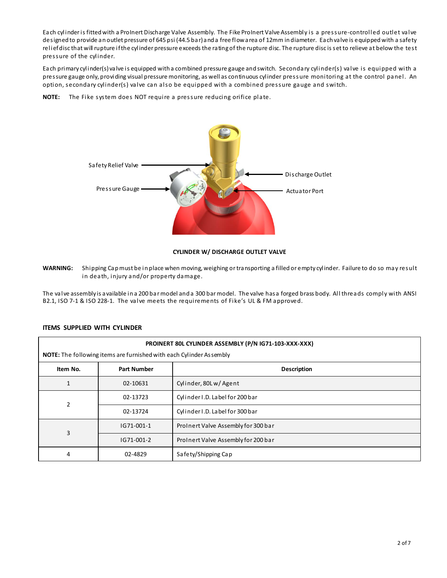Each cylinder is fitted with a ProInert Discharge Valve Assembly. The Fike ProInert Valve Assembly is a pressure-controlled outlet valve designed to provide an outlet pressure of 645 psi (44.5 bar) and a free flow area of 12mm in diameter. Each valve is equipped with a safety relief disc that will rupture if the cylinder pressure exceeds the rating of the rupture disc. The rupture disc is set to relieve at below the test pressure of the cylinder.

Each primary cylinder(s) valve is equipped with a combined pressure gauge and switch. Secondary cylinder(s) valve is equipped with a pressure gauge only, providing visual pressure monitoring, as well as continuous cylinder pressure monitoring at the control panel. An option, secondary cylinder(s) valve can also be equipped with a combined pressure gauge and switch.

**NOTE:** The Fike system does NOT require a pressure reducing orifice plate.



#### **CYLINDER W/ DISCHARGE OUTLET VALVE**

**WARNING:** Shipping Cap must be in place when moving, weighing or transporting a filled or empty cylinder. Failure to do so may result in death, injury and/or property damage.

The valve assembly is available in a 200 bar model and a 300 bar model. The valve has a forged brass body. All threads comply with ANSI B2.1, ISO 7-1 & ISO 228-1. The valve meets the requirements of Fike's UL & FM approved.

### **ITEMS SUPPLIED WITH CYLINDER**

| PROINERT 80L CYLINDER ASSEMBLY (P/N IG71-103-XXX-XXX)<br>NOTE: The following items are furnished with each Cylinder Assembly |                    |                                     |  |
|------------------------------------------------------------------------------------------------------------------------------|--------------------|-------------------------------------|--|
| Item No.                                                                                                                     | <b>Part Number</b> | <b>Description</b>                  |  |
| 1                                                                                                                            | 02-10631           | Cylinder, 80Lw/Agent                |  |
| $\overline{2}$                                                                                                               | 02-13723           | Cylinder I.D. Label for 200 bar     |  |
|                                                                                                                              | 02-13724           | Cylinder I.D. Label for 300 bar     |  |
| 3                                                                                                                            | IG71-001-1         | ProInert Valve Assembly for 300 bar |  |
|                                                                                                                              | IG71-001-2         | ProInert Valve Assembly for 200 bar |  |
| 4                                                                                                                            | 02-4829            | Safety/Shipping Cap                 |  |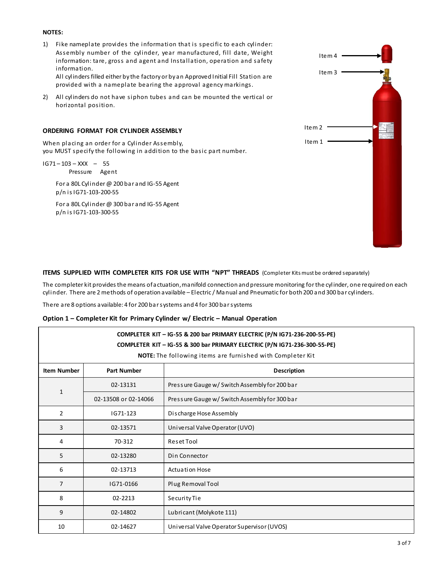#### **NOTES:**

1) Fike nameplate provides the information that is specific to each cylinder: Assembly number of the cylinder, year manufactured, fill date, Weight information: tare, gross and agent and Installation, operation and safety information.

All cylinders filled either by the factory or by an Approved Initial Fill Station are provided with a nameplate bearing the approval agency markings.

2) All cylinders do not have siphon tubes and can be mounted the vertical or horizontal position.

#### **ORDERING FORMAT FOR CYLINDER ASSEMBLY**

When placing an order for a Cylinder Assembly, you MUST specify the following in addition to the basic part number.

IG71 – 103 – XXX – 55 Pressure Agent

> For a 80L Cylinder @ 200 bar and IG-55 Agent p/n is IG71-103-200-55

> For a 80L Cylinder @ 300 bar and IG-55 Agent p/n is IG71-103-300-55



#### **ITEMS SUPPLIED WITH COMPLETER KITS FOR USE WITH "NPT" THREADS** (Completer Kits must be ordered separately)

The completer kit provides the means of actuation, manifold connection and pressure monitoring for the cylinder, one required on each cylinder. There are 2 methods of operation available – Electric / Manual and Pneumatic for both 200 and 300 bar cylinders.

There are 8 options available: 4 for 200 bar systems and 4 for 300 bar systems

|  | Option 1 – Completer Kit for Primary Cylinder w/ Electric – Manual Operation |  |
|--|------------------------------------------------------------------------------|--|
|  |                                                                              |  |

| COMPLETER KIT - IG-55 & 200 bar PRIMARY ELECTRIC (P/N IG71-236-200-55-PE)<br>COMPLETER KIT - IG-55 & 300 bar PRIMARY ELECTRIC (P/N IG71-236-300-55-PE)<br>NOTE: The following items are furnished with Completer Kit |                      |                                               |  |
|----------------------------------------------------------------------------------------------------------------------------------------------------------------------------------------------------------------------|----------------------|-----------------------------------------------|--|
| <b>Item Number</b>                                                                                                                                                                                                   | <b>Part Number</b>   | <b>Description</b>                            |  |
|                                                                                                                                                                                                                      |                      |                                               |  |
| $\mathbf{1}$                                                                                                                                                                                                         | 02-13131             | Pressure Gauge w/ Switch Assembly for 200 bar |  |
|                                                                                                                                                                                                                      | 02-13508 or 02-14066 | Pressure Gauge w/ Switch Assembly for 300 bar |  |
| $\overline{2}$                                                                                                                                                                                                       | IG71-123             | Discharge Hose Assembly                       |  |
| 3                                                                                                                                                                                                                    | 02-13571             | Universal Valve Operator (UVO)                |  |
| 4                                                                                                                                                                                                                    | 70-312               | Reset Tool                                    |  |
| 5                                                                                                                                                                                                                    | 02-13280             | Din Connector                                 |  |
| 6                                                                                                                                                                                                                    | 02-13713             | <b>Actuation Hose</b>                         |  |
| 7                                                                                                                                                                                                                    | IG71-0166            | Plug Removal Tool                             |  |
| 8                                                                                                                                                                                                                    | 02-2213              | SecurityTie                                   |  |
| 9                                                                                                                                                                                                                    | 02-14802             | Lubricant (Molykote 111)                      |  |
| 10                                                                                                                                                                                                                   | 02-14627             | Universal Valve Operator Supervisor (UVOS)    |  |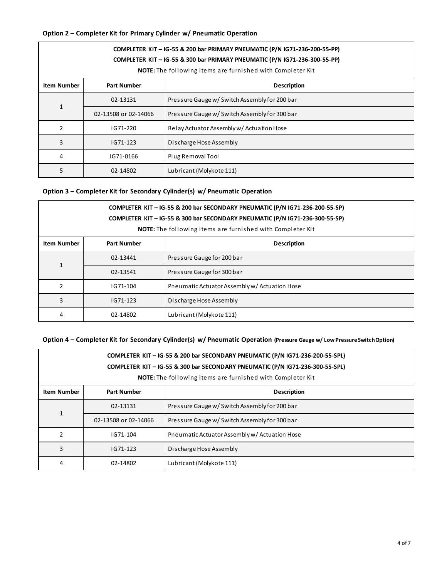# **Option 2 – Completer Kit for Primary Cylinder w/ Pneumatic Operation**

| COMPLETER KIT - IG-55 & 200 bar PRIMARY PNEUMATIC (P/N IG71-236-200-55-PP)<br>COMPLETER KIT - IG-55 & 300 bar PRIMARY PNEUMATIC (P/N IG71-236-300-55-PP)<br>NOTE: The following items are furnished with Completer Kit |                                          |                                               |  |
|------------------------------------------------------------------------------------------------------------------------------------------------------------------------------------------------------------------------|------------------------------------------|-----------------------------------------------|--|
| <b>Item Number</b>                                                                                                                                                                                                     | <b>Part Number</b><br><b>Description</b> |                                               |  |
|                                                                                                                                                                                                                        | 02-13131                                 | Pressure Gauge w/ Switch Assembly for 200 bar |  |
| $\mathbf{1}$                                                                                                                                                                                                           | 02-13508 or 02-14066                     | Pressure Gauge w/ Switch Assembly for 300 bar |  |
| 2                                                                                                                                                                                                                      | IG71-220                                 | Relay Actuator Assembly w/ Actuation Hose     |  |
| 3                                                                                                                                                                                                                      | IG71-123                                 | Discharge Hose Assembly                       |  |
| 4                                                                                                                                                                                                                      | IG71-0166                                | Plug Removal Tool                             |  |
| 5                                                                                                                                                                                                                      | 02-14802                                 | Lubricant (Molykote 111)                      |  |

## **Option 3 – Completer Kit for Secondary Cylinder(s) w/ Pneumatic Operation**

| COMPLETER KIT - IG-55 & 200 bar SECONDARY PNEUMATIC (P/N IG71-236-200-55-SP)<br>COMPLETER KIT - IG-55 & 300 bar SECONDARY PNEUMATIC (P/N IG71-236-300-55-SP)<br><b>NOTE:</b> The following items are furnished with Completer Kit |                    |                                               |  |
|-----------------------------------------------------------------------------------------------------------------------------------------------------------------------------------------------------------------------------------|--------------------|-----------------------------------------------|--|
| <b>Item Number</b>                                                                                                                                                                                                                | <b>Part Number</b> | <b>Description</b>                            |  |
|                                                                                                                                                                                                                                   | 02-13441           | Pressure Gauge for 200 bar                    |  |
| 1                                                                                                                                                                                                                                 | 02-13541           | Pressure Gauge for 300 bar                    |  |
| $\overline{2}$                                                                                                                                                                                                                    | IG71-104           | Pneumatic Actuator Assembly w/ Actuation Hose |  |
| 3                                                                                                                                                                                                                                 | IG71-123           | Discharge Hose Assembly                       |  |
| 4                                                                                                                                                                                                                                 | 02-14802           | Lubricant (Molykote 111)                      |  |

## **Option 4 – Completer Kit for Secondary Cylinder(s) w/ Pneumatic Operation (Pressure Gauge w/ Low Pressure Switch Option)**

| COMPLETER KIT - IG-55 & 200 bar SECONDARY PNEUMATIC (P/N IG71-236-200-55-SPL)<br>COMPLETER KIT - IG-55 & 300 bar SECONDARY PNEUMATIC (P/N IG71-236-300-55-SPL)<br><b>NOTE:</b> The following items are furnished with Completer Kit |                      |                                               |  |
|-------------------------------------------------------------------------------------------------------------------------------------------------------------------------------------------------------------------------------------|----------------------|-----------------------------------------------|--|
| <b>Item Number</b>                                                                                                                                                                                                                  | <b>Part Number</b>   | <b>Description</b>                            |  |
| $\mathbf{1}$                                                                                                                                                                                                                        | 02-13131             | Pressure Gauge w/ Switch Assembly for 200 bar |  |
|                                                                                                                                                                                                                                     | 02-13508 or 02-14066 | Pressure Gauge w/ Switch Assembly for 300 bar |  |
|                                                                                                                                                                                                                                     | IG71-104             | Pneumatic Actuator Assembly w/ Actuation Hose |  |
| 3                                                                                                                                                                                                                                   | IG71-123             | Discharge Hose Assembly                       |  |
| 4                                                                                                                                                                                                                                   | 02-14802             | Lubricant (Molykote 111)                      |  |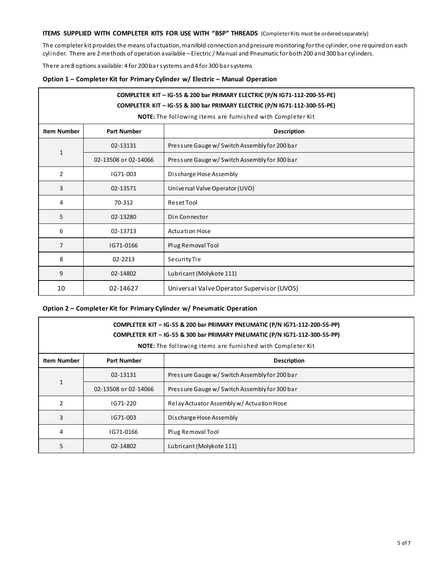# **ITEMS SUPPLIED WITH COMPLETER KITS FOR USE WITH "BSP" THREADS** (Completer Kits must be ordered separately)

The completer kit provides the means of actuation, manifold connection and pressure monitoring for the cylinder, one required on each cylinder. There are 2 methods of operation available – Electric / Manual and Pneumatic for both 200 and 300 bar cylinders.

There are 8 options available: 4 for 200 bar systems and 4 for 300 bar systems

| Option 1 – Completer Kit for Primary Cylinder w/ Electric – Manual Operation |  |  |
|------------------------------------------------------------------------------|--|--|
|                                                                              |  |  |

|                    | COMPLETER KIT - IG-55 & 200 bar PRIMARY ELECTRIC (P/N IG71-112-200-55-PE)<br>COMPLETER KIT - IG-55 & 300 bar PRIMARY ELECTRIC (P/N IG71-112-300-55-PE) |                                                            |  |  |
|--------------------|--------------------------------------------------------------------------------------------------------------------------------------------------------|------------------------------------------------------------|--|--|
|                    |                                                                                                                                                        | NOTE: The following items are furnished with Completer Kit |  |  |
| <b>Item Number</b> | <b>Part Number</b>                                                                                                                                     | <b>Description</b>                                         |  |  |
|                    | 02-13131                                                                                                                                               | Pressure Gauge w/ Switch Assembly for 200 bar              |  |  |
| $\mathbf{1}$       | 02-13508 or 02-14066                                                                                                                                   | Pressure Gauge w/ Switch Assembly for 300 bar              |  |  |
| $\overline{2}$     | IG71-003                                                                                                                                               | Discharge Hose Assembly                                    |  |  |
| 3                  | 02-13571                                                                                                                                               | Universal Valve Operator (UVO)                             |  |  |
| 4                  | 70-312                                                                                                                                                 | Reset Tool                                                 |  |  |
| 5                  | 02-13280                                                                                                                                               | Din Connector                                              |  |  |
| 6                  | 02-13713                                                                                                                                               | Actuation Hose                                             |  |  |
| 7                  | IG71-0166                                                                                                                                              | Plug Removal Tool                                          |  |  |
| 8                  | 02-2213                                                                                                                                                | SecurityTie                                                |  |  |
| 9                  | 02-14802                                                                                                                                               | Lubricant (Molykote 111)                                   |  |  |
| 10                 | 02-14627                                                                                                                                               | Universal Valve Operator Supervisor (UVOS)                 |  |  |

## **Option 2 – Completer Kit for Primary Cylinder w/ Pneumatic Operation**

| COMPLETER KIT - IG-55 & 200 bar PRIMARY PNEUMATIC (P/N IG71-112-200-55-PP)<br>COMPLETER KIT - IG-55 & 300 bar PRIMARY PNEUMATIC (P/N IG71-112-300-55-PP)<br><b>NOTE:</b> The following items are furnished with Completer Kit |                                          |                                               |  |
|-------------------------------------------------------------------------------------------------------------------------------------------------------------------------------------------------------------------------------|------------------------------------------|-----------------------------------------------|--|
| <b>Item Number</b>                                                                                                                                                                                                            | <b>Part Number</b><br><b>Description</b> |                                               |  |
|                                                                                                                                                                                                                               | 02-13131                                 | Pressure Gauge w/ Switch Assembly for 200 bar |  |
| $\mathbf{1}$                                                                                                                                                                                                                  | 02-13508 or 02-14066                     | Pressure Gauge w/ Switch Assembly for 300 bar |  |
| 2                                                                                                                                                                                                                             | IG71-220                                 | Relay Actuator Assembly w/ Actuation Hose     |  |
| 3                                                                                                                                                                                                                             | IG71-003                                 | Discharge Hose Assembly                       |  |
| 4                                                                                                                                                                                                                             | IG71-0166                                | Plug Removal Tool                             |  |
| 5                                                                                                                                                                                                                             | 02-14802                                 | Lubricant (Molykote 111)                      |  |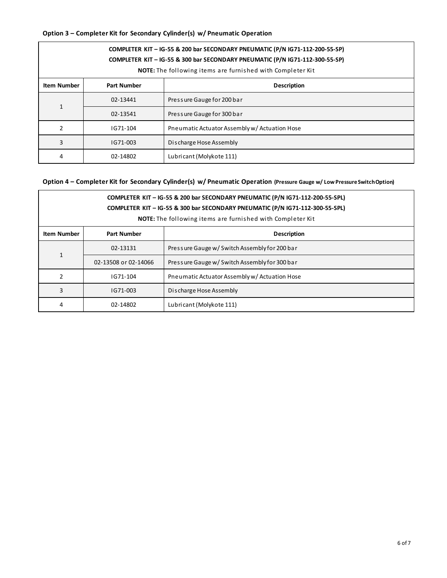# **Option 3 – Completer Kit for Secondary Cylinder(s) w/ Pneumatic Operation**

| COMPLETER KIT - IG-55 & 200 bar SECONDARY PNEUMATIC (P/N IG71-112-200-55-SP)<br>COMPLETER KIT - IG-55 & 300 bar SECONDARY PNEUMATIC (P/N IG71-112-300-55-SP)<br><b>NOTE:</b> The following items are furnished with Completer Kit |                    |                                               |  |
|-----------------------------------------------------------------------------------------------------------------------------------------------------------------------------------------------------------------------------------|--------------------|-----------------------------------------------|--|
| Item Number                                                                                                                                                                                                                       | <b>Part Number</b> | <b>Description</b>                            |  |
|                                                                                                                                                                                                                                   | 02-13441           | Pressure Gauge for 200 bar                    |  |
| $\mathbf{1}$                                                                                                                                                                                                                      | 02-13541           | Pressure Gauge for 300 bar                    |  |
| $\overline{2}$                                                                                                                                                                                                                    | IG71-104           | Pneumatic Actuator Assembly w/ Actuation Hose |  |
| 3                                                                                                                                                                                                                                 | IG71-003           | Discharge Hose Assembly                       |  |
| 4                                                                                                                                                                                                                                 | 02-14802           | Lubricant (Molykote 111)                      |  |

# **Option 4 – Completer Kit for Secondary Cylinder(s) w/ Pneumatic Operation (Pressure Gauge w/ Low Pressure Switch Option)**

| COMPLETER KIT - IG-55 & 200 bar SECONDARY PNEUMATIC (P/N IG71-112-200-55-SPL)<br>COMPLETER KIT - IG-55 & 300 bar SECONDARY PNEUMATIC (P/N IG71-112-300-55-SPL)<br><b>NOTE:</b> The following items are furnished with Completer Kit |                                          |                                               |  |
|-------------------------------------------------------------------------------------------------------------------------------------------------------------------------------------------------------------------------------------|------------------------------------------|-----------------------------------------------|--|
| <b>Item Number</b>                                                                                                                                                                                                                  | <b>Part Number</b><br><b>Description</b> |                                               |  |
|                                                                                                                                                                                                                                     | 02-13131                                 | Pressure Gauge w/ Switch Assembly for 200 bar |  |
| $\mathbf{1}$                                                                                                                                                                                                                        | 02-13508 or 02-14066                     | Pressure Gauge w/ Switch Assembly for 300 bar |  |
| 2                                                                                                                                                                                                                                   | IG71-104                                 | Pneumatic Actuator Assembly w/ Actuation Hose |  |
| 3                                                                                                                                                                                                                                   | IG71-003                                 | Discharge Hose Assembly                       |  |
| 4                                                                                                                                                                                                                                   | 02-14802                                 | Lubricant (Molykote 111)                      |  |